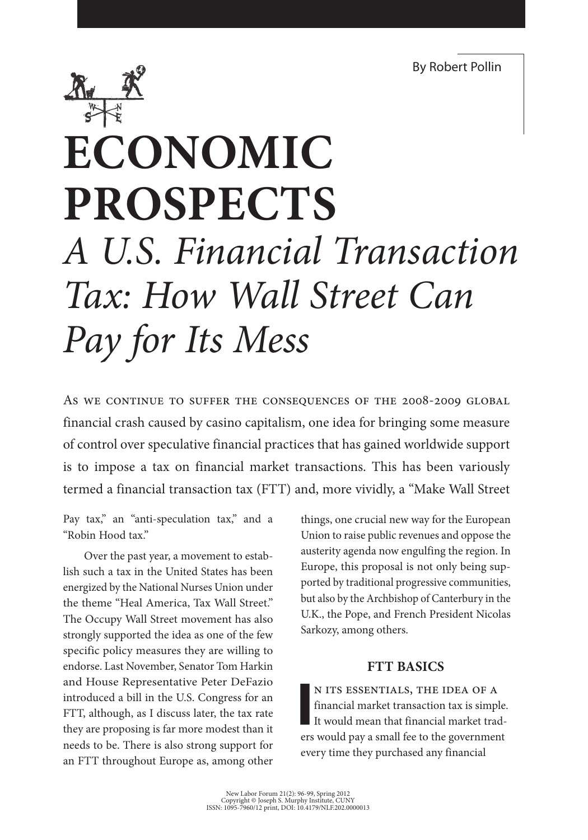By Robert Pollin



# **Economic Prospects**  *A U.S. Financial Transaction Tax: How Wall Street Can Pay for Its Mess*

As we continue to suffer the consequences of the 2008-2009 global financial crash caused by casino capitalism, one idea for bringing some measure of control over speculative financial practices that has gained worldwide support is to impose a tax on financial market transactions. This has been variously termed a financial transaction tax (FTT) and, more vividly, a "Make Wall Street

Pay tax," an "anti-speculation tax," and a "Robin Hood tax."

Over the past year, a movement to establish such a tax in the United States has been energized by the National Nurses Union under the theme "Heal America, Tax Wall Street." The Occupy Wall Street movement has also strongly supported the idea as one of the few specific policy measures they are willing to endorse. Last November, Senator Tom Harkin and House Representative Peter DeFazio introduced a bill in the U.S. Congress for an FTT, although, as I discuss later, the tax rate they are proposing is far more modest than it needs to be. There is also strong support for an FTT throughout Europe as, among other things, one crucial new way for the European Union to raise public revenues and oppose the austerity agenda now engulfing the region. In Europe, this proposal is not only being supported by traditional progressive communities, but also by the Archbishop of Canterbury in the U.K., the Pope, and French President Nicolas Sarkozy, among others.

#### **FTT Basics**

**I** n its essentials, the idea of a financial market transaction tax is simple. It would mean that financial market traders would pay a small fee to the government every time they purchased any financial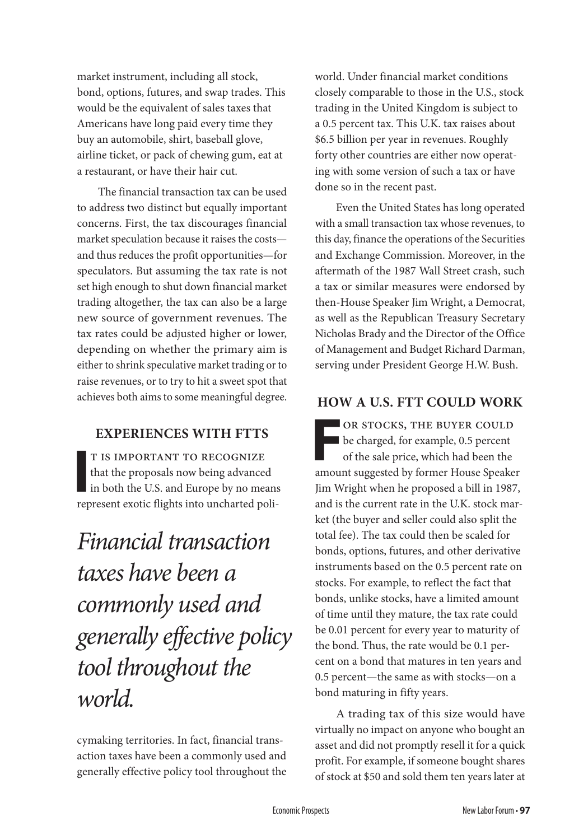market instrument, including all stock, bond, options, futures, and swap trades. This would be the equivalent of sales taxes that Americans have long paid every time they buy an automobile, shirt, baseball glove, airline ticket, or pack of chewing gum, eat at a restaurant, or have their hair cut.

The financial transaction tax can be used to address two distinct but equally important concerns. First, the tax discourages financial market speculation because it raises the costs and thus reduces the profit opportunities—for speculators. But assuming the tax rate is not set high enough to shut down financial market trading altogether, the tax can also be a large new source of government revenues. The tax rates could be adjusted higher or lower, depending on whether the primary aim is either to shrink speculative market trading or to raise revenues, or to try to hit a sweet spot that achieves both aims to some meaningful degree.

### **Experiences with FTTs**

**I** t is important to recognize that the proposals now being advanced in both the U.S. and Europe by no means represent exotic flights into uncharted poli-

### *Financial transaction taxes have been a commonly used and generally effective policy tool throughout the world.*

cymaking territories. In fact, financial transaction taxes have been a commonly used and generally effective policy tool throughout the

world. Under financial market conditions closely comparable to those in the U.S., stock trading in the United Kingdom is subject to a 0.5 percent tax. This U.K. tax raises about \$6.5 billion per year in revenues. Roughly forty other countries are either now operating with some version of such a tax or have done so in the recent past.

Even the United States has long operated with a small transaction tax whose revenues, to this day, finance the operations of the Securities and Exchange Commission. Moreover, in the aftermath of the 1987 Wall Street crash, such a tax or similar measures were endorsed by then-House Speaker Jim Wright, a Democrat, as well as the Republican Treasury Secretary Nicholas Brady and the Director of the Office of Management and Budget Richard Darman, serving under President George H.W. Bush.

#### **How a U.S. FTT Could Work**

**F** OR STOCKS, THE BUYER COULD be charged, for example, 0.5 percent of the sale price, which had been the amount suggested by former House Speaker Jim Wright when he proposed a bill in 1987, and is the current rate in the U.K. stock market (the buyer and seller could also split the total fee). The tax could then be scaled for bonds, options, futures, and other derivative instruments based on the 0.5 percent rate on stocks. For example, to reflect the fact that bonds, unlike stocks, have a limited amount of time until they mature, the tax rate could be 0.01 percent for every year to maturity of the bond. Thus, the rate would be 0.1 percent on a bond that matures in ten years and 0.5 percent—the same as with stocks—on a bond maturing in fifty years.

A trading tax of this size would have virtually no impact on anyone who bought an asset and did not promptly resell it for a quick profit. For example, if someone bought shares of stock at \$50 and sold them ten years later at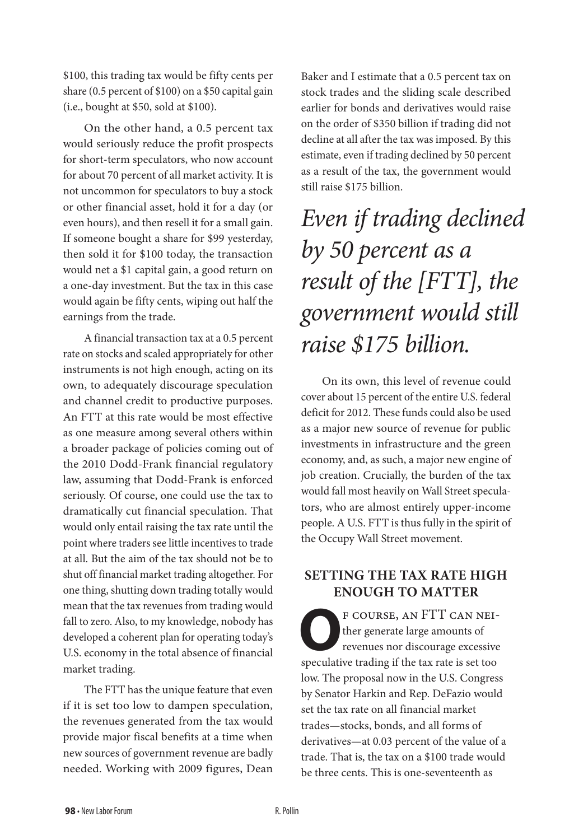\$100, this trading tax would be fifty cents per share (0.5 percent of \$100) on a \$50 capital gain (i.e., bought at \$50, sold at \$100).

On the other hand, a 0.5 percent tax would seriously reduce the profit prospects for short-term speculators, who now account for about 70 percent of all market activity. It is not uncommon for speculators to buy a stock or other financial asset, hold it for a day (or even hours), and then resell it for a small gain. If someone bought a share for \$99 yesterday, then sold it for \$100 today, the transaction would net a \$1 capital gain, a good return on a one-day investment. But the tax in this case would again be fifty cents, wiping out half the earnings from the trade.

A financial transaction tax at a 0.5 percent rate on stocks and scaled appropriately for other instruments is not high enough, acting on its own, to adequately discourage speculation and channel credit to productive purposes. An FTT at this rate would be most effective as one measure among several others within a broader package of policies coming out of the 2010 Dodd-Frank financial regulatory law, assuming that Dodd-Frank is enforced seriously. Of course, one could use the tax to dramatically cut financial speculation. That would only entail raising the tax rate until the point where traders see little incentives to trade at all. But the aim of the tax should not be to shut off financial market trading altogether. For one thing, shutting down trading totally would mean that the tax revenues from trading would fall to zero. Also, to my knowledge, nobody has developed a coherent plan for operating today's U.S. economy in the total absence of financial market trading.

The FTT has the unique feature that even if it is set too low to dampen speculation, the revenues generated from the tax would provide major fiscal benefits at a time when new sources of government revenue are badly needed. Working with 2009 figures, Dean

Baker and I estimate that a 0.5 percent tax on stock trades and the sliding scale described earlier for bonds and derivatives would raise on the order of \$350 billion if trading did not decline at all after the tax was imposed. By this estimate, even if trading declined by 50 percent as a result of the tax, the government would still raise \$175 billion.

## *Even if trading declined by 50 percent as a result of the [FTT], the government would still raise \$175 billion.*

On its own, this level of revenue could cover about 15 percent of the entire U.S. federal deficit for 2012. These funds could also be used as a major new source of revenue for public investments in infrastructure and the green economy, and, as such, a major new engine of job creation. Crucially, the burden of the tax would fall most heavily on Wall Street speculators, who are almost entirely upper-income people. A U.S. FTT is thus fully in the spirit of the Occupy Wall Street movement.

#### **Setting the Tax Rate High Enough to Matter**

**OF COURSE, AN FTT CAN NEI-**<br>ther generate large amounts of<br>revenues nor discourage excessive<br>modulative trading if the tax rate is set too. ther generate large amounts of speculative trading if the tax rate is set too low. The proposal now in the U.S. Congress by Senator Harkin and Rep. DeFazio would set the tax rate on all financial market trades—stocks, bonds, and all forms of derivatives—at 0.03 percent of the value of a trade. That is, the tax on a \$100 trade would be three cents. This is one-seventeenth as